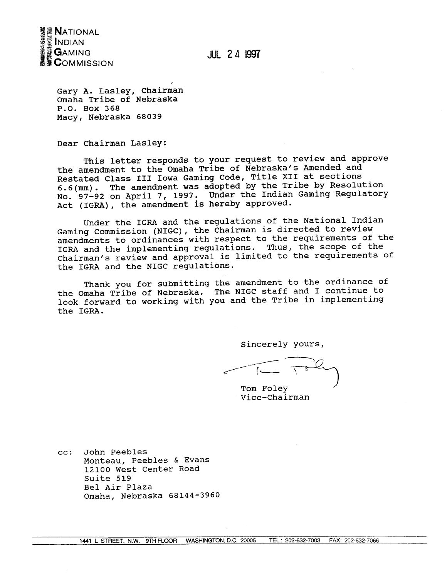

**JUL 24 1997** 

Gary A. Lasley, Chairman Omaha Tribe of Nebraska P.O. Box 368 Macy, Nebraska 68039

Dear Chairman Lasley:

This letter responds to your request to review and approve the amendment to the Omaha Tribe of Nebraska's Amended and Restated Class III Iowa Gaming Code, Title XII at sections 6.6(mm). The amendment was adopted by the Tribe by Resolution<br>No. 97-92 on April 7, 1997. Under the Indian Gaming Regulatory Act (IGRA), the amendment is hereby approved.

Under the IGRA and the regulations of the National Indian Gaming Commission (NIGC), the Chairman is directed to review amendments to ordinances with respect to the requirements of the IGRA and the implementing regulations. Thus, the scope of the Chairman's review and approval is limited to the requirements of the IGRA and the NIGC regulations.

Thank you for submitting the amendment to the ordinance of the Omaha Tribe of Nebraska. The NIGC staff and I continue to look forward to working with you and the Tribe in implementing the IGRA.

Sincerely yours,

Tom Foley Vice-Chairman

 $cc:$ John Peebles Monteau, Peebles & Evans 12100 West Center Road Suite 519 Bel Air Plaza Omaha, Nebraska 68144-3960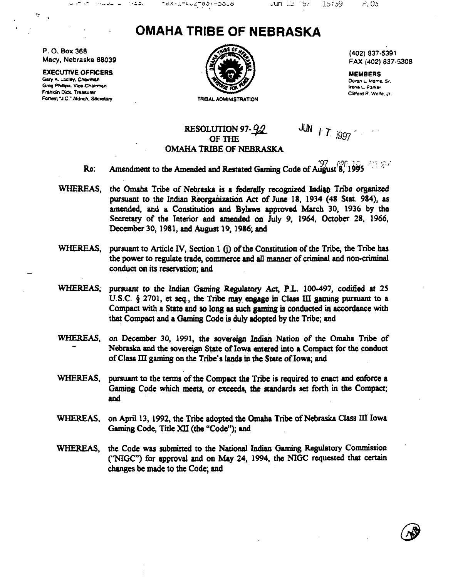## **OMAHA TRIBE OF NEBRASKA**

us (X + Yummmm to the Logic Apple

P.O. Box 368 Macy, Nebraska 68039

ದ ಸಮಸ್

P.

 $\sim$  0.000 km  $^{-1}$  as

 $v = D$ .

**EXECUTIVE OFFICERS** Gary A. Lasley, Chairman Greg Phillips, Vice-Chairman Franklin Dick, Treasurer Forrest "J.C." Aldrich, Secretary



(402) 837-5391 FAX (402) 837-5308

**MEMBERS** Doran L. Morns, Sr. Irene L. Parker Clifford R. Walfe, Jr.

## RESOLUTION 97-92 OF THE OMAHA TRIBE OF NEBRASKA

JUN 17 1997

Amendment to the Amended and Restated Gaming Code of August 8, 1995 Re:

- WHEREAS, the Omaha Tribe of Nebraska is a federally recognized Indian Tribe organized pursuant to the Indian Reorganization Act of June 18, 1934 (48 Stat. 984), as amended, and a Constitution and Bylaws approved March 30, 1936 by the Secretary of the Interior and amended on July 9, 1964, October 28, 1966, December 30, 1981, and August 19, 1986; and
- WHEREAS, pursuant to Article IV. Section 1 (i) of the Constitution of the Tribe, the Tribe has the power to regulate trade, commerce and all manner of criminal and non-criminal conduct on its reservation; and
- WHEREAS. pursuant to the Indian Gaming Regulatory Act, P.L. 100-497, codified at 25 U.S.C. § 2701, et seq., the Tribe may engage in Class III gaming pursuant to a Compact with a State and so long as such gaming is conducted in accordance with that Compact and a Gaming Code is duly adopted by the Tribe; and
- WHEREAS. on December 30, 1991, the sovereign Indian Nation of the Omaha Tribe of Nebraska and the sovereign State of Iowa entered into a Compact for the conduct of Class III gaming on the Tribe's lands in the State of Iowa; and
- WHEREAS. pursuant to the terms of the Compact the Tribe is required to enact and enforce a Gaming Code which meets, or exceeds, the standards set forth in the Compact; and
- WHEREAS. on April 13, 1992, the Tribe adopted the Omaha Tribe of Nebraska Class III Iowa Gaming Code, Title XII (the "Code"); and
- WHEREAS, the Code was submitted to the National Indian Gaming Regulatory Commission ("NIGC") for approval and on May 24, 1994, the NIGC requested that certain changes be made to the Code; and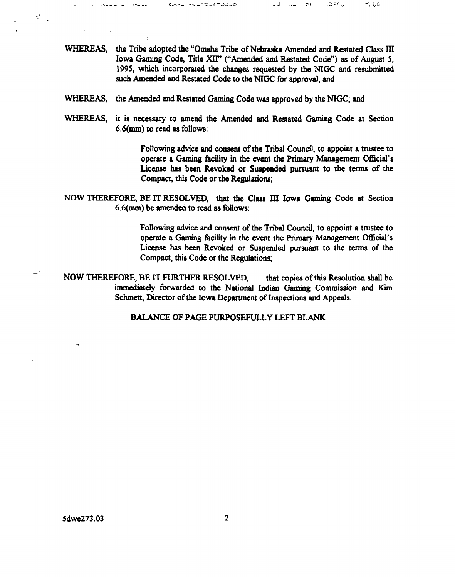**WHEREAS, the Tribe adopted the Omaha Tribe of Nebraska Amended and Restated Class ifi** Iowa Gaming Code, Title XII'' ("Amended and Restated Code") as of August 5, 1995, which incorporated the changes requested by the NIGC and resubmitted **such Amended and Restated Code to the N!GC for approval; and**

**~ C.~s O~~.)( ~).,O <sup>I</sup> <sup>i</sup> ~ .41J ~. U~**

- **WHEREAS, the Amended and Restated Gaming Code was approved by the NTGC; and**
- **WHEREAS, it is necessary to amend the Amended and Restated Gaming Code at Section 6.6(mm) to read as follows:**

**Following advice and consent of the Tribal Council, to appoint a tnistee to operate** a Gaming facility in the event the Primary Management Official's **License has been Revoked or Suspended pursuant to the terms of the**  $Compare, this Code or the *Requirements*;$ 

**NOW THEREFORE, BE IT RESOLVED, that the Class III Iowa Gaming Code ax Section 6.6(mm) be amended to read as follows:**

> **Following advice and consent of the Tribal Council, to appoint a trustee to operate** a Gaming facility in the event the Primary Management Official's **License has been Revoked or Suspended pursuant to the terms of the Compact, this Code or the Regulations;**

**NOW THEREFORE, BE IT FURTHER RESOLVED, that copies of this Resolution shall be immediately forwarded to the National Indian Gaming Commission and Kim Schmen, Director of the Iowa Depaxtment of Inspections and Appeals.**

**BALANCE OP PAGE PURPOSEFULLY LEPT BLAMC**

 $\tau_{\rm e}^{\rm e}$